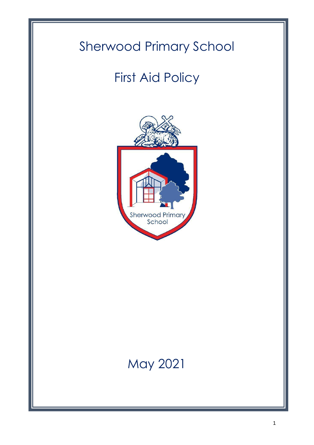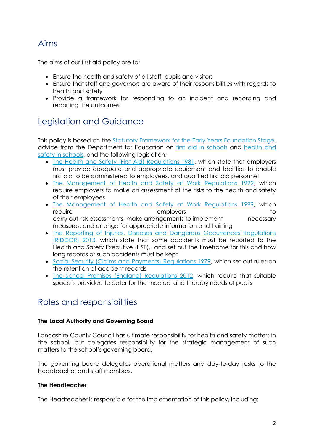## Aims

The aims of our first aid policy are to:

- Ensure the health and safety of all staff, pupils and visitors
- Ensure that staff and governors are aware of their responsibilities with regards to health and safety
- Provide a framework for responding to an incident and recording and reporting the outcomes

## Legislation and Guidance

This policy is based on the [Statutory Framework for the Early Years Foundation Stage,](https://www.gov.uk/government/uploads/system/uploads/attachment_data/file/596629/EYFS_STATUTORY_FRAMEWORK_2017.pdf) advice from the Department for Education on [first aid in schools](https://www.gov.uk/government/publications/first-aid-in-schools) and [health and](https://www.gov.uk/government/publications/health-and-safety-advice-for-schools)  [safety in schools,](https://www.gov.uk/government/publications/health-and-safety-advice-for-schools) and the following legislation:

- [The Health and Safety \(First Aid\) Regulations 1981,](http://www.legislation.gov.uk/uksi/1981/917/regulation/3/made) which state that employers must provide adequate and appropriate equipment and facilities to enable first aid to be administered to employees, and qualified first aid personnel
- [The Management of Health and Safety at Work Regulations 1992,](http://www.legislation.gov.uk/uksi/1992/2051/regulation/3/made) which require employers to make an assessment of the risks to the health and safety of their employees
- [The Management of Health and Safety at Work Regulations 1999,](http://www.legislation.gov.uk/uksi/1999/3242/contents/made) which require to the employers to the employers to the total to the total to the total to the total to the total to the to carry out risk assessments, make arrangements to implement necessary measures, and arrange for appropriate information and training
- [The Reporting of Injuries, Diseases and Dangerous Occurrences Regulations](http://www.legislation.gov.uk/uksi/2013/1471/schedule/1/paragraph/1/made) [\(RIDDOR\)](http://www.legislation.gov.uk/uksi/2013/1471/schedule/1/paragraph/1/made) 2013, which state that some accidents must be reported to the Health and Safety Executive (HSE), and set out the timeframe for this and how long records of such accidents must be kept
- [Social Security \(Claims and Payments\) Regulations 1979,](http://www.legislation.gov.uk/uksi/1979/628) which set out rules on the retention of accident records
- [The School Premises \(England\) Regulations 2012,](http://www.legislation.gov.uk/uksi/2012/1943/regulation/5/made) which require that suitable space is provided to cater for the medical and therapy needs of pupils

## Roles and responsibilities

#### **The Local Authority and Governing Board**

Lancashire County Council has ultimate responsibility for health and safety matters in the school, but delegates responsibility for the strategic management of such matters to the school's governing board.

The governing board delegates operational matters and day-to-day tasks to the Headteacher and staff members.

#### **The Headteacher**

The Headteacher is responsible for the implementation of this policy, including: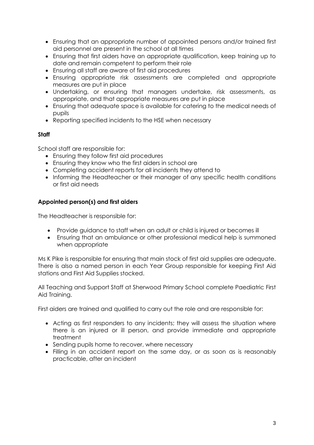- Ensuring that an appropriate number of appointed persons and/or trained first aid personnel are present in the school at all times
- Ensuring that first aiders have an appropriate qualification, keep training up to date and remain competent to perform their role
- Ensuring all staff are aware of first aid procedures
- Ensuring appropriate risk assessments are completed and appropriate measures are put in place
- Undertaking, or ensuring that managers undertake, risk assessments, as appropriate, and that appropriate measures are put in place
- Ensuring that adequate space is available for catering to the medical needs of pupils
- Reporting specified incidents to the HSE when necessary

#### **Staff**

School staff are responsible for:

- Ensuring they follow first aid procedures
- Ensuring they know who the first aiders in school are
- Completing accident reports for all incidents they attend to
- Informing the Headteacher or their manager of any specific health conditions or first aid needs

#### **Appointed person(s) and first aiders**

The Headteacher is responsible for:

- Provide guidance to staff when an adult or child is injured or becomes ill
- Ensuring that an ambulance or other professional medical help is summoned when appropriate

Ms K Pike is responsible for ensuring that main stock of first aid supplies are adequate. There is also a named person in each Year Group responsible for keeping First Aid stations and First Aid Supplies stocked.

All Teaching and Support Staff at Sherwood Primary School complete Paediatric First Aid Training.

First aiders are trained and qualified to carry out the role and are responsible for:

- Acting as first responders to any incidents; they will assess the situation where there is an injured or ill person, and provide immediate and appropriate treatment
- Sending pupils home to recover, where necessary
- Filling in an accident report on the same day, or as soon as is reasonably practicable, after an incident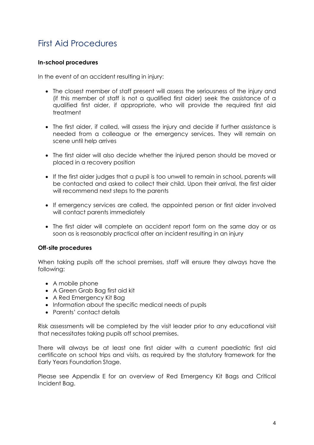## First Aid Procedures

#### **In-school procedures**

In the event of an accident resulting in injury:

- The closest member of staff present will assess the seriousness of the injury and (if this member of staff is not a qualified first aider) seek the assistance of a qualified first aider, if appropriate, who will provide the required first aid treatment
- The first aider, if called, will assess the injury and decide if further assistance is needed from a colleague or the emergency services. They will remain on scene until help arrives
- The first aider will also decide whether the injured person should be moved or placed in a recovery position
- If the first aider judges that a pupil is too unwell to remain in school, parents will be contacted and asked to collect their child. Upon their arrival, the first aider will recommend next steps to the parents
- If emergency services are called, the appointed person or first aider involved will contact parents immediately
- The first aider will complete an accident report form on the same day or as soon as is reasonably practical after an incident resulting in an injury

#### **Off-site procedures**

When taking pupils off the school premises, staff will ensure they always have the following:

- A mobile phone
- A Green Grab Bag first aid kit
- A Red Emergency Kit Bag
- Information about the specific medical needs of pupils
- Parents' contact details

Risk assessments will be completed by the visit leader prior to any educational visit that necessitates taking pupils off school premises.

There will always be at least one first aider with a current paediatric first aid certificate on school trips and visits, as required by the statutory framework for the Early Years Foundation Stage.

Please see Appendix E for an overview of Red Emergency Kit Bags and Critical Incident Bag.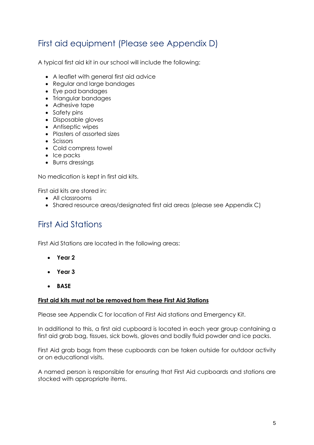## First aid equipment (Please see Appendix D)

A typical first aid kit in our school will include the following:

- A leaflet with general first aid advice
- Regular and large bandages
- Eye pad bandages
- Triangular bandages
- Adhesive tape
- Safety pins
- Disposable gloves
- Antiseptic wipes
- Plasters of assorted sizes
- Scissors
- Cold compress towel
- Ice packs
- Burns dressings

No medication is kept in first aid kits.

First aid kits are stored in:

- All classrooms
- Shared resource areas/designated first aid areas (please see Appendix C)

## First Aid Stations

First Aid Stations are located in the following areas:

- **Year 2**
- **Year 3**
- **BASE**

#### **First aid kits must not be removed from these First Aid Stations**

Please see Appendix C for location of First Aid stations and Emergency Kit.

In additional to this, a first aid cupboard is located in each year group containing a first aid grab bag, tissues, sick bowls, gloves and bodily fluid powder and ice packs.

First Aid grab bags from these cupboards can be taken outside for outdoor activity or on educational visits.

A named person is responsible for ensuring that First Aid cupboards and stations are stocked with appropriate items.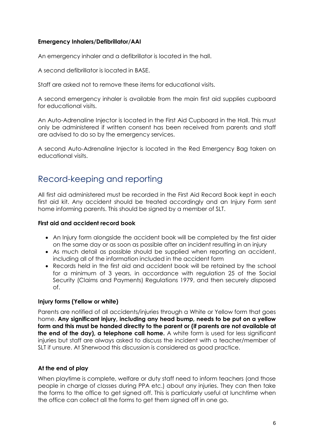#### **Emergency Inhalers/Defibrillator/AAI**

An emergency inhaler and a defibrillator is located in the hall.

A second defibrillator is located in BASE.

Staff are asked not to remove these items for educational visits.

A second emergency inhaler is available from the main first aid supplies cupboard for educational visits.

An Auto-Adrenaline Injector is located in the First Aid Cupboard in the Hall. This must only be administered if written consent has been received from parents and staff are advised to do so by the emergency services.

A second Auto-Adrenaline Injector is located in the Red Emergency Bag taken on educational visits.

### Record-keeping and reporting

All first aid administered must be recorded in the First Aid Record Book kept in each first aid kit. Any accident should be treated accordingly and an Injury Form sent home informing parents. This should be signed by a member of SLT.

#### **First aid and accident record book**

- An Injury form alongside the accident book will be completed by the first aider on the same day or as soon as possible after an incident resulting in an injury
- As much detail as possible should be supplied when reporting an accident, including all of the information included in the accident form
- Records held in the first aid and accident book will be retained by the school for a minimum of 3 years, in accordance with regulation 25 of the Social Security (Claims and Payments) Regulations 1979, and then securely disposed of.

#### **Injury forms (Yellow or white)**

Parents are notified of all accidents/injuries through a White or Yellow form that goes home. **Any significant injury, including any head bump, needs to be put on a yellow form and this must be handed directly to the parent or (if parents are not available at the end of the day), a telephone call home.** A white form is used for less significant injuries but staff are always asked to discuss the incident with a teacher/member of SLT if unsure. At Sherwood this discussion is considered as good practice.

#### **At the end of play**

When playtime is complete, welfare or duty staff need to inform teachers (and those people in charge of classes during PPA etc.) about any injuries. They can then take the forms to the office to get signed off. This is particularly useful at lunchtime when the office can collect all the forms to get them signed off in one go.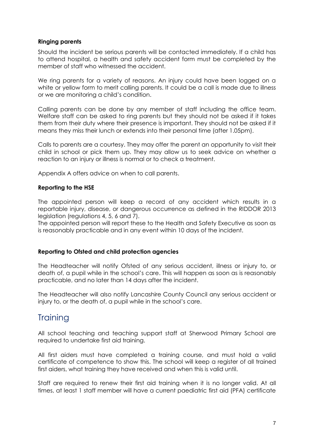#### **Ringing parents**

Should the incident be serious parents will be contacted immediately. If a child has to attend hospital, a health and safety accident form must be completed by the member of staff who witnessed the accident.

We ring parents for a variety of reasons. An injury could have been logged on a white or yellow form to merit calling parents. It could be a call is made due to illness or we are monitoring a child's condition.

Calling parents can be done by any member of staff including the office team. Welfare staff can be asked to ring parents but they should not be asked if it takes them from their duty where their presence is important. They should not be asked if it means they miss their lunch or extends into their personal time (after 1.05pm).

Calls to parents are a courtesy. They may offer the parent an opportunity to visit their child in school or pick them up. They may allow us to seek advice on whether a reaction to an injury or illness is normal or to check a treatment.

Appendix A offers advice on when to call parents.

#### **Reporting to the HSE**

The appointed person will keep a record of any accident which results in a reportable injury, disease, or dangerous occurrence as defined in the RIDDOR 2013 legislation (regulations 4, 5, 6 and 7).

The appointed person will report these to the Health and Safety Executive as soon as is reasonably practicable and in any event within 10 days of the incident.

#### **Reporting to Ofsted and child protection agencies**

The Headteacher will notify Ofsted of any serious accident, illness or injury to, or death of, a pupil while in the school's care. This will happen as soon as is reasonably practicable, and no later than 14 days after the incident.

The Headteacher will also notify Lancashire County Council any serious accident or injury to, or the death of, a pupil while in the school's care.

### **Training**

All school teaching and teaching support staff at Sherwood Primary School are required to undertake first aid training.

All first aiders must have completed a training course, and must hold a valid certificate of competence to show this. The school will keep a register of all trained first aiders, what training they have received and when this is valid until.

Staff are required to renew their first aid training when it is no longer valid. At all times, at least 1 staff member will have a current paediatric first aid (PFA) certificate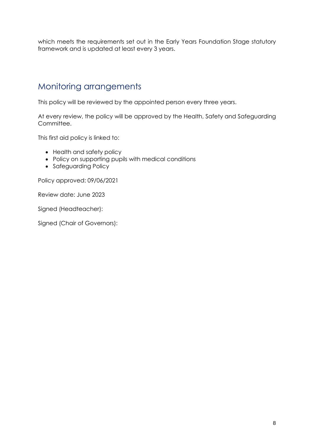which meets the requirements set out in the Early Years Foundation Stage statutory framework and is updated at least every 3 years.

## Monitoring arrangements

This policy will be reviewed by the appointed person every three years.

At every review, the policy will be approved by the Health, Safety and Safeguarding Committee.

This first aid policy is linked to:

- Health and safety policy
- Policy on supporting pupils with medical conditions
- Safeguarding Policy

Policy approved: 09/06/2021

Review date: June 2023

Signed (Headteacher):

Signed (Chair of Governors):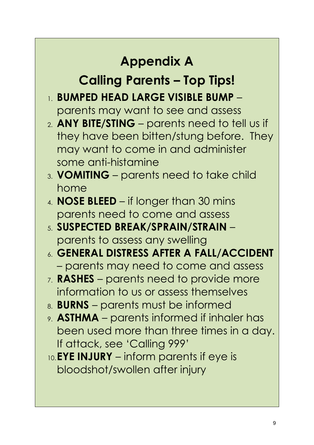## **Appendix A**

## **Calling Parents – Top Tips!**

- 1. **BUMPED HEAD LARGE VISIBLE BUMP** parents may want to see and assess
- 2. **ANY BITE/STING** parents need to tell us if they have been bitten/stung before. They may want to come in and administer some anti-histamine
- 3. **VOMITING** parents need to take child home
- 4. **NOSE BLEED** if longer than 30 mins parents need to come and assess
- 5. **SUSPECTED BREAK/SPRAIN/STRAIN** parents to assess any swelling
- 6. **GENERAL DISTRESS AFTER A FALL/ACCIDENT** – parents may need to come and assess
- 7. **RASHES** parents need to provide more information to us or assess themselves
- 8. **BURNS** parents must be informed
- 9. **ASTHMA** parents informed if inhaler has been used more than three times in a day. If attack, see 'Calling 999'
- 10.**EYE INJURY** inform parents if eye is bloodshot/swollen after injury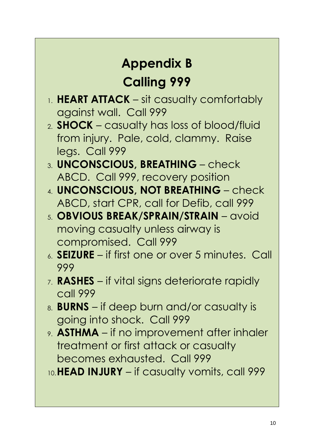# **Appendix B Calling 999**

- 1. **HEART ATTACK** sit casualty comfortably against wall. Call 999
- 2. **SHOCK** casualty has loss of blood/fluid from injury. Pale, cold, clammy. Raise legs. Call 999
- 3. **UNCONSCIOUS, BREATHING** check ABCD. Call 999, recovery position
- 4. **UNCONSCIOUS, NOT BREATHING** check ABCD, start CPR, call for Defib, call 999
- 5. **OBVIOUS BREAK/SPRAIN/STRAIN** avoid moving casualty unless airway is compromised. Call 999
- 6. **SEIZURE**  if first one or over 5 minutes. Call 999
- 7. **RASHES** if vital signs deteriorate rapidly call 999
- 8. **BURNS** if deep burn and/or casualty is going into shock. Call 999
- 9. **ASTHMA** if no improvement after inhaler treatment or first attack or casualty becomes exhausted. Call 999
- 10.**HEAD INJURY** if casualty vomits, call 999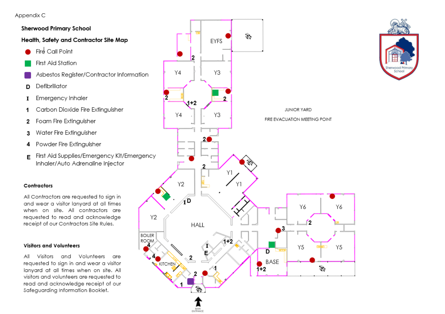Appendix C

#### **Sherwood Primary School**

Health, Safety and Contractor Site Map

- Fire Call Point
- First Aid Station
- Asbestos Register/Contractor Information
- Defibrillator D
- Emergency Inhaler  $\bf{I}$
- Carbon Dioxide Fire Extinauisher -1
- Foam Fire Extinauisher  $\overline{2}$
- Water Fire Extinguisher 3
- Powder Fire Extinguisher 4
- First Aid Supplies/Emergency Kit/Emergency E Inhaler/Auto Adrenaline Injector

#### Contractors

All Contractors are requested to sign in and wear a visitor lanyard at all times when on site. All contractors are requested to read and acknowledge receipt of our Contractors Site Rules.

#### **Visitors and Volunteers**

Visitors and Volunteers are All requested to sign in and wear a visitor lanyard at all times when on site. All visitors and volunteers are requested to read and acknowledge receipt of our Safeguarding Information Booklet.



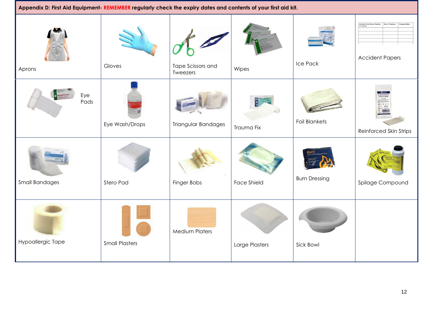| Appendix D: First Aid Equipment- REMEMBER regularly check the expiry dates and contents of your first aid kit. |                       |                               |                    |                      |                                                                        |
|----------------------------------------------------------------------------------------------------------------|-----------------------|-------------------------------|--------------------|----------------------|------------------------------------------------------------------------|
| Aprons                                                                                                         | Gloves                | Tape Scissors and<br>Tweezers | Wipes              | Ice Pack             | <b>Accident Form Record</b><br>(if required)<br><b>Accident Papers</b> |
| Eye<br>Pads                                                                                                    | Eye Wash/Drops        | Triangular Bandages           | Trauma Fix         | <b>Foil Blankets</b> | Reinforced Skin Strips                                                 |
| <b>Small Bandages</b>                                                                                          | Stero Pad             | Finger Bobs                   | <b>Face Shield</b> | <b>Burn Dressing</b> | Spilage Compound                                                       |
| Hypoallergic Tape                                                                                              | <b>Small Plasters</b> | <b>Medium Platers</b>         | Large Plasters     | Sick Bowl            |                                                                        |